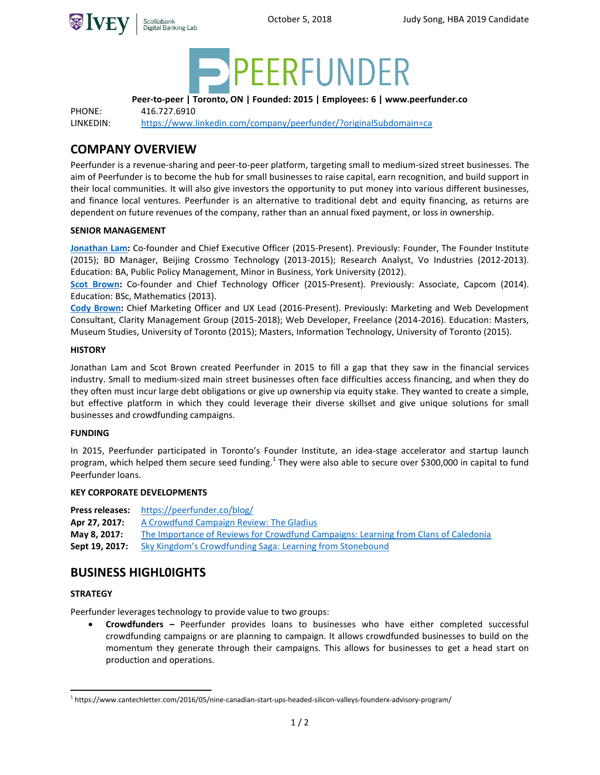



**Peer-to-peer | Toronto, ON | Founded: 2015 | Employees: 6 | www.peerfunder.co**

PHONE: 416.727.6910

LINKEDIN: <https://www.linkedin.com/company/peerfunder/?originalSubdomain=ca>

# **COMPANY OVERVIEW**

Peerfunder is a revenue-sharing and peer-to-peer platform, targeting small to medium-sized street businesses. The aim of Peerfunder is to become the hub for small businesses to raise capital, earn recognition, and build support in their local communities. It will also give investors the opportunity to put money into various different businesses, and finance local ventures. Peerfunder is an alternative to traditional debt and equity financing, as returns are dependent on future revenues of the company, rather than an annual fixed payment, or loss in ownership.

# **SENIOR MANAGEMENT**

**[Jonathan Lam:](https://www.linkedin.com/in/jonathanryanlam/)** Co-founder and Chief Executive Officer (2015-Present). Previously: Founder, The Founder Institute (2015); BD Manager, Beijing Crossmo Technology (2013-2015); Research Analyst, Vo Industries (2012-2013). Education: BA, Public Policy Management, Minor in Business, York University (2012).

**[Scot Brown:](https://www.linkedin.com/in/scot-brown-16608768/)** Co-founder and Chief Technology Officer (2015-Present). Previously: Associate, Capcom (2014). Education: BSc, Mathematics (2013).

**[Cody Brown:](https://www.linkedin.com/in/cody-brown-4aa7ab69/)** Chief Marketing Officer and UX Lead (2016-Present). Previously: Marketing and Web Development Consultant, Clarity Management Group (2015-2018); Web Developer, Freelance (2014-2016). Education: Masters, Museum Studies, University of Toronto (2015); Masters, Information Technology, University of Toronto (2015).

# **HISTORY**

Jonathan Lam and Scot Brown created Peerfunder in 2015 to fill a gap that they saw in the financial services industry. Small to medium-sized main street businesses often face difficulties access financing, and when they do they often must incur large debt obligations or give up ownership via equity stake. They wanted to create a simple, but effective platform in which they could leverage their diverse skillset and give unique solutions for small businesses and crowdfunding campaigns.

### **FUNDING**

In 2015, Peerfunder participated in Toronto's Founder Institute, an idea-stage accelerator and startup launch program, which helped them secure seed funding.<sup>1</sup> They were also able to secure over \$300,000 in capital to fund Peerfunder loans.

### **KEY CORPORATE DEVELOPMENTS**

**Press releases:** <https://peerfunder.co/blog/> Apr 27, 2017: [A Crowdfund Campaign Review: The Gladius](https://peerfunder.co/a-crowdfund-campaign-review-the-gladius/) **May 8, 2017:** [The Importance of Reviews for Crowdfund Campaigns: Learning from Clans of Caledonia](https://peerfunder.co/the-importance-of-reviews-for-crowdfund-campaigns-learning-from-clans-of-caledonia/) **Sept 19, 2017:** [Sky Kingdom's Crowdfunding Saga:](https://peerfunder.co/sky-kingdoms-crowdfunding-saga-learning-from-stonebound/) Learning from Stonebound

# **BUSINESS HIGHL0IGHTS**

### **STRATEGY**

 $\overline{a}$ 

Peerfunder leverages technology to provide value to two groups:

 **Crowdfunders –** Peerfunder provides loans to businesses who have either completed successful crowdfunding campaigns or are planning to campaign. It allows crowdfunded businesses to build on the momentum they generate through their campaigns. This allows for businesses to get a head start on production and operations.

<sup>1</sup> https://www.cantechletter.com/2016/05/nine-canadian-start-ups-headed-silicon-valleys-founderx-advisory-program/